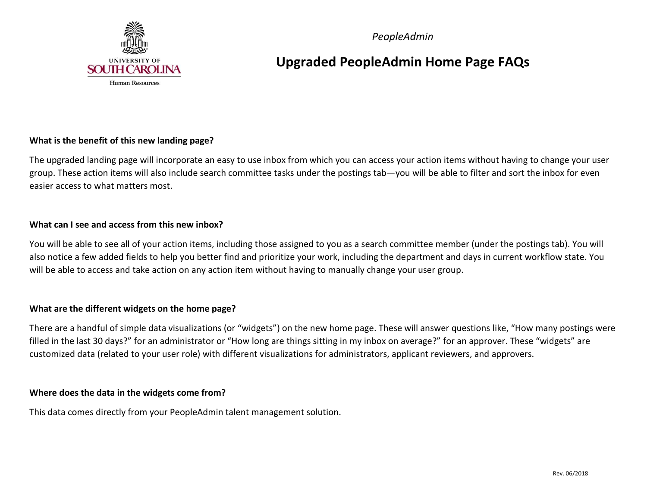

 *PeopleAdmin* 

### **Upgraded PeopleAdmin Home Page FAQs**

#### **What is the benefit of this new landing page?**

 The upgraded landing page will incorporate an easy to use inbox from which you can access your action items without having to change your user group. These action items will also include search committee tasks under the postings tab—you will be able to filter and sort the inbox for even easier access to what matters most.

#### **What can I see and access from this new inbox?**

 You will be able to see all of your action items, including those assigned to you as a search committee member (under the postings tab). You will also notice a few added fields to help you better find and prioritize your work, including the department and days in current workflow state. You will be able to access and take action on any action item without having to manually change your user group.

#### **What are the different widgets on the home page?**

 There are a handful of simple data visualizations (or "widgets") on the new home page. These will answer questions like, "How many postings were filled in the last 30 days?" for an administrator or "How long are things sitting in my inbox on average?" for an approver. These "widgets" are customized data (related to your user role) with different visualizations for administrators, applicant reviewers, and approvers.

#### **Where does the data in the widgets come from?**

This data comes directly from your PeopleAdmin talent management solution.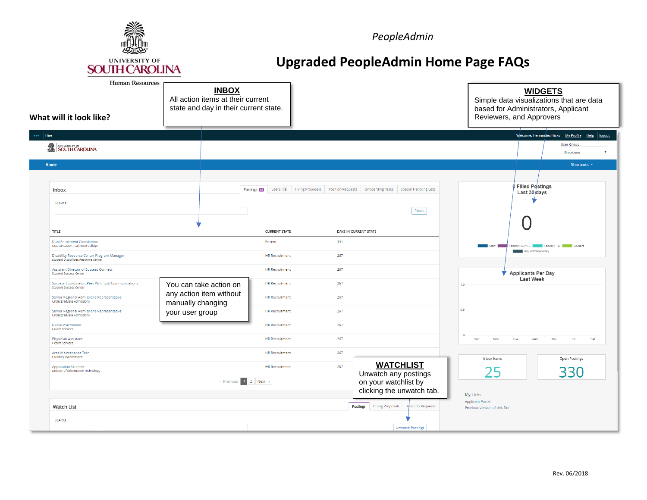

**PeopleAdmin** 

# **Upgraded PeopleAdmin Home Page FAQs**

| <b>Human Resources</b><br>What will it look like?                                                                             | <b>INBOX</b><br>All action items at their current<br>state and day in their current state. |                                |                                                                          | <b>WIDGETS</b><br>Simple data visualizations that are data<br>based for Administrators, Applicant<br>Reviewers, and Approvers |
|-------------------------------------------------------------------------------------------------------------------------------|--------------------------------------------------------------------------------------------|--------------------------------|--------------------------------------------------------------------------|-------------------------------------------------------------------------------------------------------------------------------|
| Hire<br>SOUTH CAROLINA                                                                                                        |                                                                                            |                                |                                                                          | Welcome, Hernandez Hicks My Profile Help logout<br>User Group:<br>Employee<br>$\overline{\mathbf{v}}$                         |
| Home<br>Inbox<br>SEARCH                                                                                                       | Postings 12                                                                                | Users 13 Hiring Proposals      | Position Requests   Onboarding Tasks   Special Handling Lists<br>Filters | Shortcuts <b>v</b><br><b>OFilled Postings</b><br>Last 30 days                                                                 |
| TITLE<br>Dual Enrollment Coordinator                                                                                          |                                                                                            | <b>CURRENT STATE</b><br>Posted | DAYS IN CURRENT STATE<br>341                                             |                                                                                                                               |
| USC Lancaster - Palmetto College<br><b>Disability Resource Center Program Manager</b><br>Student Disabilities Resource Center |                                                                                            | <b>HR</b> Recruitment          | 267                                                                      | Faculty RGP/TL   Faculty FTE   Student<br>Adjunct/Temporary                                                                   |
| Assistant Director of Success Connect<br>Student Success Center                                                               |                                                                                            | <b>HR Recruitment</b>          | 267                                                                      | Applicants Per Day                                                                                                            |
| Success Coordinator, Peer Writing & Communications<br>Student Success Center                                                  | You can take action on                                                                     | <b>HR Recruitment</b>          | 267                                                                      | Last Week<br>1.0                                                                                                              |
| Senior Regional Admissions Representative<br>Undergraduate Admissions                                                         | any action item without<br>manually changing                                               | <b>HR Recruitment</b>          | 267                                                                      |                                                                                                                               |
| Senior Regional Admissions Representative<br>Undergraduate Admissions                                                         | your user group                                                                            | <b>HR</b> Recruitment          | 267                                                                      | 0.5                                                                                                                           |
| <b>Nurse Practitioner</b><br><b>Health Services</b>                                                                           |                                                                                            | <b>HR</b> Recruitment          | 267                                                                      |                                                                                                                               |
| <b>Physician Assistant</b><br><b>Health Services</b>                                                                          |                                                                                            | <b>HR Recruitment</b>          | 267                                                                      | Sun<br>Mon<br>Fri<br>Sat<br>Thu                                                                                               |
| Area Maintenance Tech<br><b>Facilities Maintenance</b>                                                                        |                                                                                            | <b>HR</b> Recruitment          | 267                                                                      | Inbox Items<br>Open Postings                                                                                                  |
| <b>Application Scientist</b><br>Division of Information Technology                                                            |                                                                                            | <b>HR Recruitment</b>          | <b>WATCHLIST</b><br>267<br>Unwatch any postings                          | 25<br>330                                                                                                                     |
|                                                                                                                               | $\leftarrow$ Previous 7 2 Next $\rightarrow$                                               |                                | on your watchlist by                                                     |                                                                                                                               |
|                                                                                                                               |                                                                                            |                                | clicking the unwatch tab.                                                | My Links<br><b>Applicant Portal</b>                                                                                           |
| <b>Watch List</b>                                                                                                             |                                                                                            |                                | Postings Hiring Proposals<br><b>Position Requests</b>                    | Previous Version of this Site                                                                                                 |
| SEARCH                                                                                                                        |                                                                                            |                                | <b>Unwatch Postings</b>                                                  |                                                                                                                               |